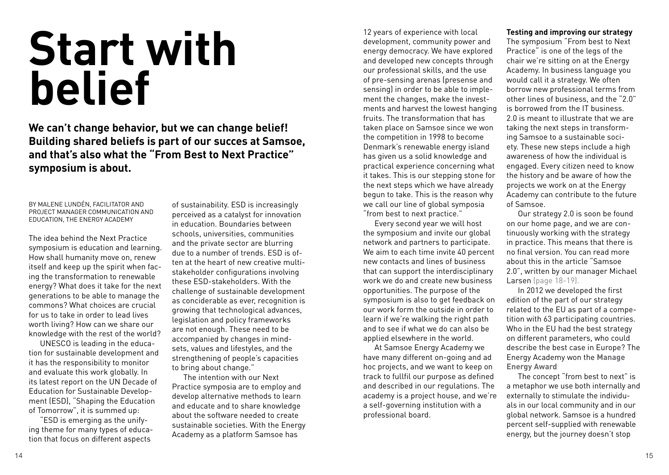# **Start with belief**

**We can't change behavior, but we can change belief! Building shared beliefs is part of our succes at Samsoe, and that's also what the "From Best to Next Practice" symposium is about.**

By Malene Lundén, facilitator and project manager communication and education, the Energy Academy

The idea behind the Next Practice symposium is education and learning. How shall humanity move on, renew itself and keep up the spirit when facing the transformation to renewable energy? What does it take for the next generations to be able to manage the commons? What choices are crucial for us to take in order to lead lives worth living? How can we share our knowledge with the rest of the world?

 UNESCO is leading in the education for sustainable development and it has the responsibility to monitor and evaluate this work globally. In its latest report on the UN Decade of Education for Sustainable Development (ESD), "Shaping the Education of Tomorrow", it is summed up:

"ESD is emerging as the unifying theme for many types of education that focus on different aspects

of sustainability. ESD is increasingly perceived as a catalyst for innovation in education. Boundaries between schools, universities, communities and the private sector are blurring due to a number of trends. ESD is often at the heart of new creative multistakeholder configurations involving these ESD-stakeholders. With the challenge of sustainable development as conciderable as ever, recognition is growing that technological advances, legislation and policy frameworks are not enough. These need to be accompanied by changes in mindsets, values and lifestyles, and the strengthening of people's capacities to bring about change."

 The intention with our Next Practice symposia are to employ and develop alternative methods to learn and educate and to share knowledge about the software needed to create sustainable societies. With the Energy Academy as a platform Samsoe has

12 years of experience with local development, community power and energy democracy. We have explored and developed new concepts through our professional skills, and the use of pre-sensing arenas (presense and sensing) in order to be able to implement the changes, make the investments and harvest the lowest hanging fruits. The transformation that has taken place on Samsoe since we won the competition in 1998 to become Denmark's renewable energy island has given us a solid knowledge and practical experience concerning what it takes. This is our stepping stone for the next steps which we have already begun to take. This is the reason why we call our line of global symposia "from best to next practice."

 Every second year we will host the symposium and invite our global network and partners to participate. We aim to each time invite 40 percent new contacts and lines of business that can support the interdisciplinary work we do and create new business opportunities. The purpose of the symposium is also to get feedback on our work form the outside in order to learn if we're walking the right path and to see if what we do can also be applied elsewhere in the world.

 At Samsoe Energy Academy we have many different on-going and ad hoc projects, and we want to keep on track to fullfil our purpose as defined and described in our regulations. The academy is a project house, and we're a self-governing institution with a professional board.

## **Testing and improving our strategy**

The symposium "From best to Next Practice" is one of the legs of the chair we're sitting on at the Energy Academy. In business language you would call it a strategy. We often borrow new professional terms from other lines of business, and the "2.0" is borrowed from the IT business. 2.0 is meant to illustrate that we are taking the next steps in transforming Samsoe to a sustainable society. These new steps include a high awareness of how the individual is engaged. Every citizen need to know the history and be aware of how the projects we work on at the Energy Academy can contribute to the future of Samsoe.

 Our strategy 2.0 is soon be found on our home page, and we are continuously working with the strategy in practice. This means that there is no final version. You can read more about this in the article "Samsoe 2.0", written by our manager Michael Larsen (page 18-19).

 In 2012 we developed the first edition of the part of our strategy related to the EU as part of a competition with 63 participating countries. Who in the EU had the best strategy on different parameters, who could describe the best case in Europe? The Energy Academy won the **[Manage]( http://www.managenergy.net/resources/1438)  [Energy Award]( http://www.managenergy.net/resources/1438)**

 The concept "from best to next" is a metaphor we use both internally and externally to stimulate the individuals in our local community and in our global network. Samsoe is a hundred percent self-supplied with renewable energy, but the journey doesn't stop